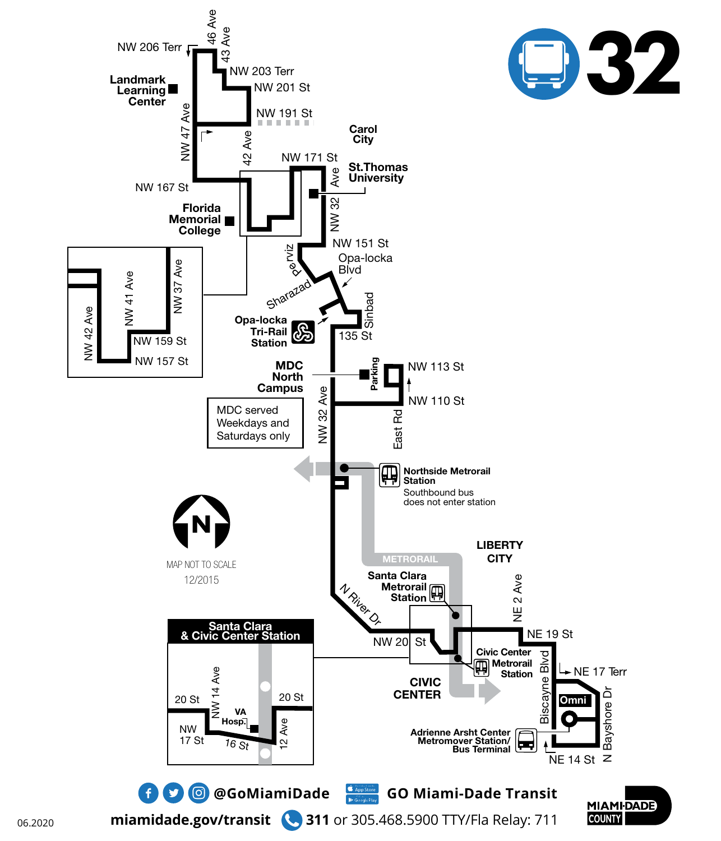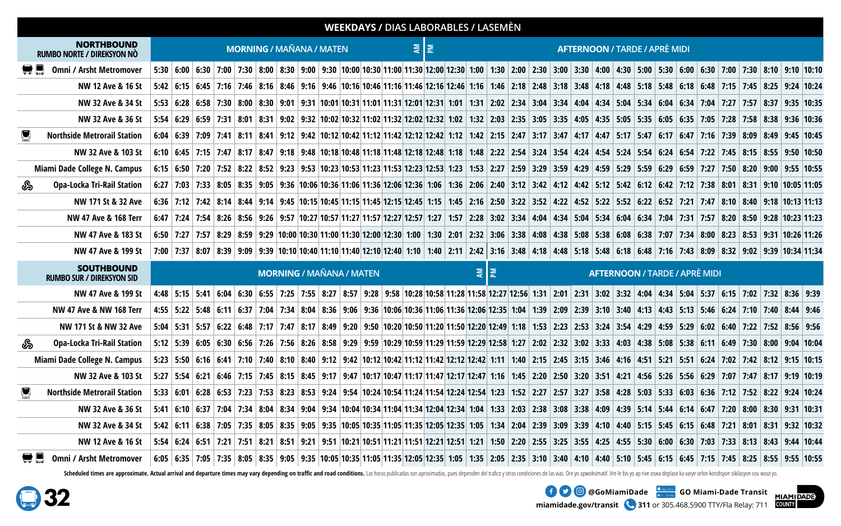|   |                                                       |  |  |  |                                 |  |  | <b>WEEKDAYS / DIAS LABORABLES / LASEMÈN</b> |    |   |     |                                      |  |  |  |  |  |  |                                      |  |  |                                                                                                                                                                                                                                 |  |  |
|---|-------------------------------------------------------|--|--|--|---------------------------------|--|--|---------------------------------------------|----|---|-----|--------------------------------------|--|--|--|--|--|--|--------------------------------------|--|--|---------------------------------------------------------------------------------------------------------------------------------------------------------------------------------------------------------------------------------|--|--|
|   | <b>NORTHBOUND</b><br>RUMBO NORTE / DIREKSYON NÒ       |  |  |  | <b>MORNING / MAÑANA / MATEN</b> |  |  |                                             | 회회 |   |     |                                      |  |  |  |  |  |  | <b>AFTERNOON / TARDE / APRÈ MIDI</b> |  |  |                                                                                                                                                                                                                                 |  |  |
|   | $\blacksquare$ Omni / Arsht Metromover                |  |  |  |                                 |  |  |                                             |    |   |     |                                      |  |  |  |  |  |  |                                      |  |  | 5:30 6:00 6:30 7:00 7:30 8:00 8:30 9:00 8:30 9:00 9:30 10:00 10:30 11:00 11:30 12:00 12:30 1:00 1:30 2:00 2:30 3:00 3:30 4:00 4:30 5:00 5:30 6:00 6:30 7:00 7:30 8:10 9:10 10:10                                                |  |  |
|   | NW 12 Ave & 16 St                                     |  |  |  |                                 |  |  |                                             |    |   |     |                                      |  |  |  |  |  |  |                                      |  |  | 5:42 6:15 6:45 7:16 7:46 7:16 7:46 8:16 8:46 9:16 9:46 10:16 10:46 11:16 11:46 12:16 12:46 1:16 1:46 2:18 2:48 3:18 3:48 4:18 4:48 5:18 5:48 6:18 6:48 7:16 7:45 8:25 9:24 10:24                                                |  |  |
|   | NW 32 Ave & 34 St                                     |  |  |  |                                 |  |  |                                             |    |   |     |                                      |  |  |  |  |  |  |                                      |  |  | 5:53 6:28 6:34 7:04 7:27 7:57 8:37 9:35 10:35 6:28 6:58 6:28 6:58 7:30 8:30 9:01 9:31 10:01 10:31 11:01 11:31 12:01 12:31 1:01 1:31 2:02 2:34 3:04 3:34 4:04 4:34 5:04 5:34 6:04 6:34 7:04 7:27 7:57 8:37 9:35 10:35            |  |  |
|   | NW 32 Ave & 36 St                                     |  |  |  |                                 |  |  |                                             |    |   |     |                                      |  |  |  |  |  |  |                                      |  |  | 5:54 6:29 6:59 7:31 8:01 8:31 9:02 9:32 10:02 10:32 11:02 11:32 12:02 12:32 1:02 12:32 1:02 12:32 1:02 12:32 1                                                                                                                  |  |  |
|   | <b>Northside Metrorail Station</b>                    |  |  |  |                                 |  |  |                                             |    |   |     |                                      |  |  |  |  |  |  |                                      |  |  |                                                                                                                                                                                                                                 |  |  |
|   | NW 32 Ave & 103 St                                    |  |  |  |                                 |  |  |                                             |    |   |     |                                      |  |  |  |  |  |  |                                      |  |  | 6:10 6:45 7:15 7:47 8:17 8:17 8:47 9:18 9:48 10:18 10:48 11:18 11:48 12:18 12:48 1:18 12:48 1:18 12:48 1:18 1:48 2:22 2:54 3:54 4:24 4:54 5:24 5:54 6:54 7:22 7:45 8:15 8:55 9:50 10:50                                         |  |  |
|   | Miami Dade College N. Campus                          |  |  |  |                                 |  |  |                                             |    |   |     |                                      |  |  |  |  |  |  |                                      |  |  | 6:10 9:50 7:20 7:52 8:22 8:59 9:23 9:23 9:55 10:23 9:53 10:23 11:23 11:23 11:33 12:23 12:33 1:23 1:53 1:23 1:53 2:27 2:59 3:59 4:29 4:59 5:29 5:59 6:29 6:59 7:27 7:50 8:20 9:00 9:55 10:55                                     |  |  |
| ఊ | <b>Opa-Locka Tri-Rail Station</b>                     |  |  |  |                                 |  |  |                                             |    |   |     |                                      |  |  |  |  |  |  |                                      |  |  | 6:27   7:03   7:33   8:05   8:35   9:05   9:36   10:06   10:36   11:06   11:36   12:06   12:36   1:06   1:36   2:06   2:40   3:12   3:42   4:12   4:42   5:12   5:42   5:12   5:42   5:12   5:42   5:12   5:42   5:12   5:42    |  |  |
|   | NW 171 St & 32 Ave                                    |  |  |  |                                 |  |  |                                             |    |   |     |                                      |  |  |  |  |  |  |                                      |  |  | 6:36 7:12 7:42 8:14 8:44 9:14 9:45 9:14 8:44 9:14 8:44 9:15 9:45 10:15 11:45 11:15 11:45 12:15 12:45 1:15 1:45 1:15 1:45 2:16 2:50 3:22 3:52 4:52 4:52 5:52 5:52 6:52 7:21 7:47 8:10 8:44 9:18 10:13 11:13                      |  |  |
|   | NW 47 Ave & 168 Terr                                  |  |  |  |                                 |  |  |                                             |    |   |     |                                      |  |  |  |  |  |  |                                      |  |  | $6:47$   7:24   7:54   8:26   8:56   9:26   9:27   10:27   10:27   10:57   11:27   11:57   12:27   12:27   12:27   1:57   2:28   3:02   3:34   4:04   4:34   5:04   5:34   6:04   6:34   7:04   7:31   7:57   8:20   8:50   9   |  |  |
|   | NW 47 Ave & 183 St                                    |  |  |  |                                 |  |  |                                             |    |   |     |                                      |  |  |  |  |  |  |                                      |  |  | 6:50 7:27 7:37 8:29 8:53 8:53 9:29 10:00 10:30 11:00 11:30 12:00 12:30 1:00 1:30 2:01 2:32 3:06 3:38 4:08 4:38 5:08 5:38 6:08 6:38 7:07 7:34 8:00 8:23 8:53 9:31 10:26 11:26                                                    |  |  |
|   | NW 47 Ave & 199 St                                    |  |  |  |                                 |  |  |                                             |    |   |     |                                      |  |  |  |  |  |  |                                      |  |  | 7:00 7:37 8:07 8:39 9:09 8:32 9:00 8:39 10:10 1:34 11:10 11:40 12:10 12:40 1:10 1:40 2:11 2:42 3:16 3:48 4:18 4:48 5:18 5:48 6:18 6:48 7:16 7:43 8:09 8:32 9:02 9:39 10:34 11:34                                                |  |  |
|   | <b>SOUTHBOUND</b><br><b>RUMBO SUR / DIREKSYON SID</b> |  |  |  | <b>MORNING / MAÑANA / MATEN</b> |  |  |                                             |    | Ę | l ≅ | <b>AFTERNOON / TARDE / APRÈ MIDI</b> |  |  |  |  |  |  |                                      |  |  |                                                                                                                                                                                                                                 |  |  |
|   | NW 47 Ave & 199 St                                    |  |  |  |                                 |  |  |                                             |    |   |     |                                      |  |  |  |  |  |  |                                      |  |  | 4:48 5:15 5:41 6:04 5:37 6:15 7:02 7:32 8:36 9:39 9:39 9:39 9:39 9:55 8:27 8:57 9:28 9:58 10:28 10:58 11:28 11:58 12:27 12:56 1:31 2:01 2:31 3:02 3:32 4:04 4:34 5:04 5:37 6:15 7:02 7:32 8:36 9:39                             |  |  |
|   | <b>NW 47 Ave &amp; NW 168 Terr</b>                    |  |  |  |                                 |  |  |                                             |    |   |     |                                      |  |  |  |  |  |  |                                      |  |  | 4:55 5:48 6:11 6:37 7:04 7:34 8:04 9:46 5:12 5:48 6:11 5:49 6:11 6:37 7:04 7:34 8:04 8:36 9:06 9:36 10:06 10:36 11:06 11:36 12:06 12:35 1:04 1:39 2:09 2:39 3:10 3:40 4:13 4:43 5:13 5:46 6:24 7:10 7:40 8:44 9:46              |  |  |
|   | NW 171 St & NW 32 Ave                                 |  |  |  |                                 |  |  |                                             |    |   |     |                                      |  |  |  |  |  |  |                                      |  |  | 5:50 10:20 10:20 11:50 12:20 1:40 1:53 2:23 2:53 3:24 3:54 4:29 4:50 5:29 6:02 6:48 7:12 7:32 8:56 9:56 9:56 10:20 9:56 10:20 10:50 11:20 11:50 12:20 12:49 1:18 1:53 2:23 2:53 3:24 3:54 4:29 4:59 5:29 6:02 6:40 7:22 7:52 8: |  |  |
| ఊ | <b>Opa-Locka Tri-Rail Station</b>                     |  |  |  |                                 |  |  |                                             |    |   |     |                                      |  |  |  |  |  |  |                                      |  |  | 5:12 5:39 6:11 6:49 7:30 8:00 9:04 10:04 5:39 6:15 5:39 6:40 5:30 6:56 7:26 7:56 8:56 9:29 9:59 10:29 10:59 11:29 11:59 12:29 12:58 1:27 2:02 2:32 3:02 3:33 4:03 4:38 5:08 5:38 6:11 6:49 7:30 8:00 9:04 10:04                 |  |  |
|   | Miami Dade College N. Campus                          |  |  |  |                                 |  |  |                                             |    |   |     |                                      |  |  |  |  |  |  |                                      |  |  | 5:23   5:50   6:16   6:41   7:10   7:40   8:10   8:40   9:12   9:40   9:12   9:42   10:12   10:12   10:12   11:12   11:12   12:12   12:12   1:11   1:40   2:15   2:45   3:15   3:46   4:16   4:51   5:51   5:51   6:24   7:02   |  |  |
|   | NW 32 Ave & 103 St                                    |  |  |  |                                 |  |  |                                             |    |   |     |                                      |  |  |  |  |  |  |                                      |  |  |                                                                                                                                                                                                                                 |  |  |
|   | <b>Northside Metrorail Station</b>                    |  |  |  |                                 |  |  |                                             |    |   |     |                                      |  |  |  |  |  |  |                                      |  |  | 5:33 6:01 6:28 6:53 7:23 7:52 8:22 9:24 9:54 10:24 10:54 11:24 11:54 12:24 12:54 12:24 12:54 12:24 12:54 12:24 12:54 1:23 1:52 2:27 2:57 3:27 3:58 4:28 5:03 5:33 6:03 6:36 7:12 7:52 8:22 9:24 10:24                           |  |  |
|   | NW 32 Ave & 36 St                                     |  |  |  |                                 |  |  |                                             |    |   |     |                                      |  |  |  |  |  |  |                                      |  |  | 5:41 6:10 6:37 7:04 7:34 8:04 8:34 9:04 9:34 9:04 9:34 10:04 10:34 11:04 11:34 12:04 12:34 1:04 1:33 2:03 2:38 3:08 3:38 4:09 4:39 5:14 5:44 6:14 6:47 7:20 8:00 8:30 9:31 10:31 10:031                                         |  |  |
|   | <b>NW 32 Ave &amp; 34 St</b>                          |  |  |  |                                 |  |  |                                             |    |   |     |                                      |  |  |  |  |  |  |                                      |  |  | 5:42 6:11 6:38 7:05 7:35 8:05 8:35 9:05 8:35 9:05 9:35 10:05 10:35 11:05 11:35 12:05 12:35 1:05 1:34 2:04 2:39 3:09 3:39 4:10 4:40 5:15 5:45 6:15 6:48 7:21 8:01 8:31 9:32 10:32                                                |  |  |
|   | NW 12 Ave & 16 St                                     |  |  |  |                                 |  |  |                                             |    |   |     |                                      |  |  |  |  |  |  |                                      |  |  | 5:54 6:24 7:33 8:13 8:43 9:44 10:44 10:44 5:54 6:24 6:51 7:21 7:51 8:21 8:51 9:21 9:51 10:21 10:51 11:21 11:51 2:21 2:51 1:21 1:50 2:20 2:55 3:25 3:55 4:25 2:55 3:55 4:25 5:30 6:00 6:30 7:03 7:33 8:13 8:43 9:44 10:44        |  |  |
|   | <b>Omni / Arsht Metromover</b>                        |  |  |  |                                 |  |  |                                             |    |   |     |                                      |  |  |  |  |  |  |                                      |  |  | 6:05 6:35 7:05 7:35 8:05 8:35 9:05 9:35 9:05 9:35 10:05 9:35 10:05 10:35 11:05 11:35 12:05 12:35 1:05 1:35 2:05 2:35 3:10 3:40 4:10 4:40 5:10 5:45 6:15 6:45 7:15 7:45 8:25 8:55 9:55 10:05                                     |  |  |

Scheduled times are approximate. Actual arrival and departure times may vary depending on traffic and road conditions. Las horas publicadas son aproximadas, pues dependen del trafico y otras condiciones de las vias. Ore yo

**MIAMIDADE** 

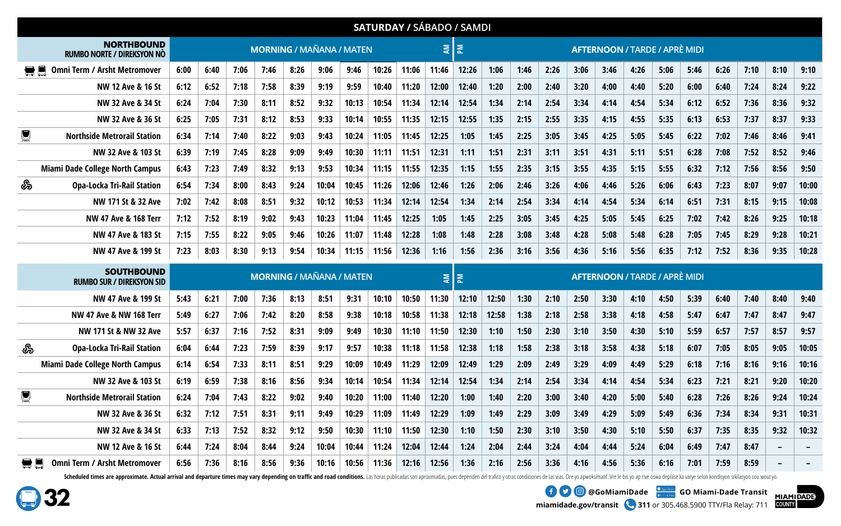|    |                                                       |      |                                 |      |      |                                 |       |       |       |       | <b>SATURDAY / SÁBADO / SAMDI</b> |              |       |      |      |                                      |      |      |                                      |      |      |      |      |       |
|----|-------------------------------------------------------|------|---------------------------------|------|------|---------------------------------|-------|-------|-------|-------|----------------------------------|--------------|-------|------|------|--------------------------------------|------|------|--------------------------------------|------|------|------|------|-------|
|    | <b>NORTHBOUND</b><br>RUMBO NORTE / DIREKSYON NÒ       |      |                                 |      |      | <b>MORNING / MAÑANA / MATEN</b> |       |       |       |       | ΜA                               | $\mathbf{z}$ |       |      |      | <b>AFTERNOON / TARDE / APRÈ MIDI</b> |      |      |                                      |      |      |      |      |       |
|    | <b>Omni Term / Arsht Metromover</b>                   | 6:00 | 6:40                            | 7:06 | 7:46 | 8:26                            | 9:06  | 9:46  | 10:26 | 11:06 | 11:46                            | 12:26        | 1:06  | 1:46 | 2:26 | 3:06                                 | 3:46 | 4:26 | 5:06                                 | 5:46 | 6:26 | 7:10 | 8:10 | 9:10  |
|    | NW 12 Ave & 16 St                                     | 6:12 | 6:52                            | 7:18 | 7:58 | 8:39                            | 9:19  | 9:59  | 10:40 | 11:20 | 12:00                            | 12:40        | 1:20  | 2:00 | 2:40 | 3:20                                 | 4:00 | 4:40 | 5:20                                 | 6:00 | 6:40 | 7:24 | 8:24 | 9:22  |
|    | NW 32 Ave & 34 St                                     | 6:24 | 7:04                            | 7:30 | 8:11 | 8:52                            | 9:32  | 10:13 | 10:54 | 11:34 | 12:14                            | 12:54        | 1:34  | 2:14 | 2:54 | 3:34                                 | 4:14 | 4:54 | 5:34                                 | 6:12 | 6:52 | 7:36 | 8:36 | 9:32  |
|    | NW 32 Ave & 36 St                                     | 6:25 | 7:05                            | 7:31 | 8:12 | 8:53                            | 9:33  | 10:14 | 10:55 | 11:35 | 12:15                            | 12:55        | 1:35  | 2:15 | 2:55 | 3:35                                 | 4:15 | 4:55 | 5:35                                 | 6:13 | 6:53 | 7:37 | 8:37 | 9:33  |
| g  | <b>Northside Metrorail Station</b>                    | 6:34 | 7:14                            | 7:40 | 8:22 | 9:03                            | 9:43  | 10:24 | 11:05 | 11:45 | 12:25                            | 1:05         | 1:45  | 2:25 | 3:05 | 3:45                                 | 4:25 | 5:05 | 5:45                                 | 6:22 | 7:02 | 7:46 | 8:46 | 9:41  |
|    | NW 32 Ave & 103 St                                    | 6:39 | 7:19                            | 7:45 | 8:28 | 9:09                            | 9:49  | 10:30 | 11:11 | 11:51 | 12:31                            | 1:11         | 1:51  | 2:31 | 3:11 | 3:51                                 | 4:31 | 5:11 | 5:51                                 | 6:28 | 7:08 | 7:52 | 8:52 | 9:46  |
|    | <b>Miami Dade College North Campus</b>                | 6:43 | 7:23                            | 7:49 | 8:32 | 9:13                            | 9:53  | 10:34 | 11:15 | 11:55 | 12:35                            | 1:15         | 1:55  | 2:35 | 3:15 | 3:55                                 | 4:35 | 5:15 | 5:55                                 | 6:32 | 7:12 | 7:56 | 8:56 | 9:50  |
| ఊ  | <b>Opa-Locka Tri-Rail Station</b>                     | 6:54 | 7:34                            | 8:00 | 8:43 | 9:24                            | 10:04 | 10:45 | 11:26 | 12:06 | 12:46                            | 1:26         | 2:06  | 2:46 | 3:26 | 4:06                                 | 4:46 | 5:26 | 6:06                                 | 6:43 | 7:23 | 8:07 | 9:07 | 10:00 |
|    | NW 171 St & 32 Ave                                    | 7:02 | 7:42                            | 8:08 | 8:51 | 9:32                            | 10:12 | 10:53 | 11:34 | 12:14 | 12:54                            | 1:34         | 2:14  | 2:54 | 3:34 | 4:14                                 | 4:54 | 5:34 | 6:14                                 | 6:51 | 7:31 | 8:15 | 9:15 | 10:08 |
|    | NW 47 Ave & 168 Terr                                  | 7:12 | 7:52                            | 8:19 | 9:02 | 9:43                            | 10:23 | 11:04 | 11:45 | 12:25 | 1:05                             | 1:45         | 2:25  | 3:05 | 3:45 | 4:25                                 | 5:05 | 5:45 | 6:25                                 | 7:02 | 7:42 | 8:26 | 9:25 | 10:18 |
|    | NW 47 Ave & 183 St                                    | 7:15 | 7:55                            | 8:22 | 9:05 | 9:46                            | 10:26 | 11:07 | 11:48 | 12:28 | 1:08                             | 1:48         | 2:28  | 3:08 | 3:48 | 4:28                                 | 5:08 | 5:48 | 6:28                                 | 7:05 | 7:45 | 8:29 | 9:28 | 10:21 |
|    | NW 47 Ave & 199 St                                    | 7:23 | 8:03                            | 8:30 | 9:13 | 9:54                            | 10:34 | 11:15 | 11:56 | 12:36 | 1:16                             | 1:56         | 2:36  | 3:16 | 3:56 | 4:36                                 | 5:16 | 5:56 | 6:35                                 | 7:12 | 7:52 | 8:36 | 9:35 | 10:28 |
|    | <b>SOUTHBOUND</b><br><b>RUMBO SUR / DIREKSYON SID</b> |      | <b>MORNING / MAÑANA / MATEN</b> |      |      |                                 |       |       |       |       |                                  | $\mathbf{M}$ |       |      |      |                                      |      |      | <b>AFTERNOON / TARDE / APRÈ MIDI</b> |      |      |      |      |       |
|    | NW 47 Ave & 199 St                                    | 5:43 | 6:21                            | 7:00 | 7:36 | 8:13                            | 8:51  | 9:31  | 10:10 | 10:50 | 11:30                            | 12:10        | 12:50 | 1:30 | 2:10 | 2:50                                 | 3:30 | 4:10 | 4:50                                 | 5:39 | 6:40 | 7:40 | 8:40 | 9:40  |
|    | NW 47 Ave & NW 168 Terr                               | 5:49 | 6:27                            | 7:06 | 7:42 | 8:20                            | 8:58  | 9:38  | 10:18 | 10:58 | 11:38                            | 12:18        | 12:58 | 1:38 | 2:18 | 2:58                                 | 3:38 | 4:18 | 4:58                                 | 5:47 | 6:47 | 7:47 | 8:47 | 9:47  |
|    | NW 171 St & NW 32 Ave                                 | 5:57 | 6:37                            | 7:16 | 7:52 | 8:31                            | 9:09  | 9:49  | 10:30 | 11:10 | 11:50                            | 12:30        | 1:10  | 1:50 | 2:30 | 3:10                                 | 3:50 | 4:30 | 5:10                                 | 5:59 | 6:57 | 7:57 | 8:57 | 9:57  |
| இ  | <b>Opa-Locka Tri-Rail Station</b>                     | 6:04 | 6:44                            | 7:23 | 7:59 | 8:39                            | 9:17  | 9:57  | 10:38 | 11:18 | 11:58                            | 12:38        | 1:18  | 1:58 | 2:38 | 3:18                                 | 3:58 | 4:38 | 5:18                                 | 6:07 | 7:05 | 8:05 | 9:05 | 10:05 |
|    | <b>Miami Dade College North Campus</b>                | 6:14 | 6:54                            | 7:33 | 8:11 | 8:51                            | 9:29  | 10:09 | 10:49 | 11:29 | 12:09                            | 12:49        | 1:29  | 2:09 | 2:49 | 3:29                                 | 4:09 | 4:49 | 5:29                                 | 6:18 | 7:16 | 8:16 | 9:16 | 10:16 |
|    | NW 32 Ave & 103 St                                    | 6:19 | 6:59                            | 7:38 | 8:16 | 8:56                            | 9:34  | 10:14 | 10:54 | 11:34 | 12:14                            | 12:54        | 1:34  | 2:14 | 2:54 | 3:34                                 | 4:14 | 4:54 | 5:34                                 | 6:23 | 7:21 | 8:21 | 9:20 | 10:20 |
| g  | <b>Northside Metrorail Station</b>                    | 6:24 | 7:04                            | 7:43 | 8:22 | 9:02                            | 9:40  | 10:20 | 11:00 | 11:40 | 12:20                            | 1:00         | 1:40  | 2:20 | 3:00 | 3:40                                 | 4:20 | 5:00 | 5:40                                 | 6:28 | 7:26 | 8:26 | 9:24 | 10:24 |
|    | NW 32 Ave & 36 St                                     | 6:32 | 7:12                            | 7:51 | 8:31 | 9:11                            | 9:49  | 10:29 | 11:09 | 11:49 | 12:29                            | 1:09         | 1:49  | 2:29 | 3:09 | 3:49                                 | 4:29 | 5:09 | 5:49                                 | 6:36 | 7:34 | 8:34 | 9:31 | 10:31 |
|    | NW 32 Ave & 34 St                                     | 6:33 | 7:13                            | 7:52 | 8:32 | 9:12                            | 9:50  | 10:30 | 11:10 | 11:50 | 12:30                            | 1:10         | 1:50  | 2:30 | 3:10 | 3:50                                 | 4:30 | 5:10 | 5:50                                 | 6:37 | 7:35 | 8:35 | 9:32 | 10:32 |
|    | NW 12 Ave & 16 St                                     | 6:44 | 7:24                            | 8:04 | 8:44 | 9:24                            | 10:04 | 10:44 | 11:24 | 12:04 | 12:44                            | 1:24         | 2:04  | 2:44 | 3:24 | 4:04                                 | 4:44 | 5:24 | 6:04                                 | 6:49 | 7:47 | 8:47 |      |       |
| 复具 | <b>Omni Term / Arsht Metromover</b>                   | 6:56 | 7:36                            | 8:16 | 8:56 | 9:36                            | 10:16 | 10:56 | 11:36 | 12:16 | 12:56                            | 1:36         | 2:16  | 2:56 | 3:36 | 4:16                                 | 4:56 | 5:36 | 6:16                                 | 7:01 | 7:59 | 8:59 |      |       |

Scheduled times are approximate. Actual arrival and departure times may vary depending on traffic and road conditions. Las horas publicadas son aproximadas, pues dependen del trafico y otras condiciones de las vias. Ore yo